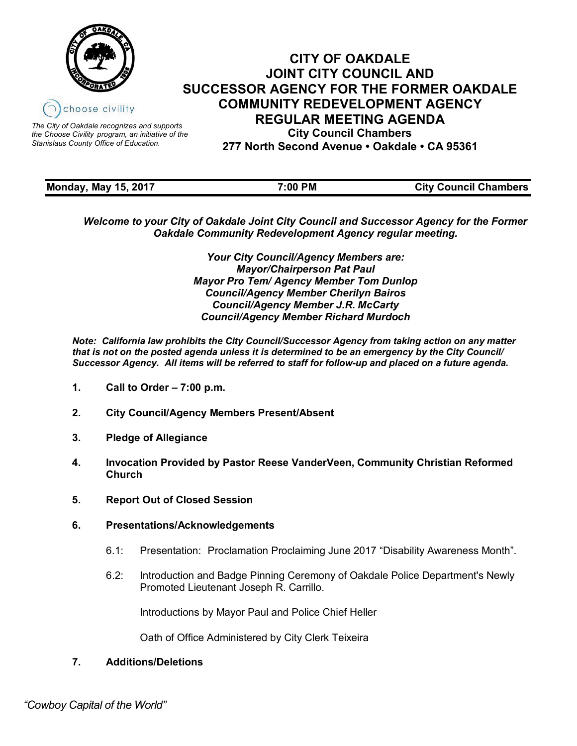

*The City of Oakdale recognizes and supports the Choose Civility program, an initiative of the Stanislaus County Office of Education.*

# **CITY OF OAKDALE JOINT CITY COUNCIL AND SUCCESSOR AGENCY FOR THE FORMER OAKDALE COMMUNITY REDEVELOPMENT AGENCY REGULAR MEETING AGENDA City Council Chambers 277 North Second Avenue • Oakdale • CA 95361**

| <b>Monday, May 15, 2017</b> | 7:00 PM | <b>City Council Chambers</b> |
|-----------------------------|---------|------------------------------|

*Welcome to your City of Oakdale Joint City Council and Successor Agency for the Former Oakdale Community Redevelopment Agency regular meeting.*

> *Your City Council/Agency Members are: Mayor/Chairperson Pat Paul Mayor Pro Tem/ Agency Member Tom Dunlop Council/Agency Member Cherilyn Bairos Council/Agency Member J.R. McCarty Council/Agency Member Richard Murdoch*

*Note: California law prohibits the City Council/Successor Agency from taking action on any matter that is not on the posted agenda unless it is determined to be an emergency by the City Council/ Successor Agency. All items will be referred to staff for follow-up and placed on a future agenda.* 

- **1. Call to Order – 7:00 p.m.**
- **2. City Council/Agency Members Present/Absent**
- **3. Pledge of Allegiance**
- **4. Invocation Provided by Pastor Reese VanderVeen, Community Christian Reformed Church**
- **5. Report Out of Closed Session**
- **6. Presentations/Acknowledgements**
	- 6.1: Presentation: Proclamation Proclaiming June 2017 "Disability Awareness Month".
	- 6.2: Introduction and Badge Pinning Ceremony of Oakdale Police Department's Newly Promoted Lieutenant Joseph R. Carrillo.

Introductions by Mayor Paul and Police Chief Heller

Oath of Office Administered by City Clerk Teixeira

# **7. Additions/Deletions**

 *"Cowboy Capital of the World"*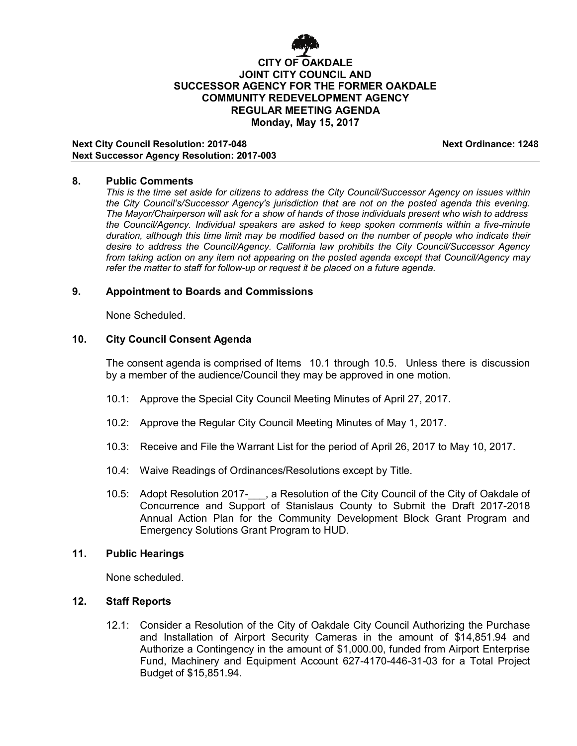

#### **Next City Council Resolution: 2017-048 Next Ordinance: 1248 Next Successor Agency Resolution: 2017-003**

#### **8. Public Comments**

*This is the time set aside for citizens to address the City Council/Successor Agency on issues within the City Council's/Successor Agency's jurisdiction that are not on the posted agenda this evening. The Mayor/Chairperson will ask for a show of hands of those individuals present who wish to address the Council/Agency. Individual speakers are asked to keep spoken comments within a five-minute duration, although this time limit may be modified based on the number of people who indicate their desire to address the Council/Agency. California law prohibits the City Council/Successor Agency from taking action on any item not appearing on the posted agenda except that Council/Agency may refer the matter to staff for follow-up or request it be placed on a future agenda.*

#### **9. Appointment to Boards and Commissions**

None Scheduled.

#### **10. City Council Consent Agenda**

The consent agenda is comprised of Items 10.1 through 10.5. Unless there is discussion by a member of the audience/Council they may be approved in one motion.

- 10.1: Approve the Special City Council Meeting Minutes of April 27, 2017.
- 10.2: Approve the Regular City Council Meeting Minutes of May 1, 2017.
- 10.3: Receive and File the Warrant List for the period of April 26, 2017 to May 10, 2017.
- 10.4: Waive Readings of Ordinances/Resolutions except by Title.
- 10.5: Adopt Resolution 2017-\_\_\_, a Resolution of the City Council of the City of Oakdale of Concurrence and Support of Stanislaus County to Submit the Draft 2017-2018 Annual Action Plan for the Community Development Block Grant Program and Emergency Solutions Grant Program to HUD.

#### **11. Public Hearings**

None scheduled.

### **12. Staff Reports**

12.1: Consider a Resolution of the City of Oakdale City Council Authorizing the Purchase and Installation of Airport Security Cameras in the amount of \$14,851.94 and Authorize a Contingency in the amount of \$1,000.00, funded from Airport Enterprise Fund, Machinery and Equipment Account 627-4170-446-31-03 for a Total Project Budget of \$15,851.94.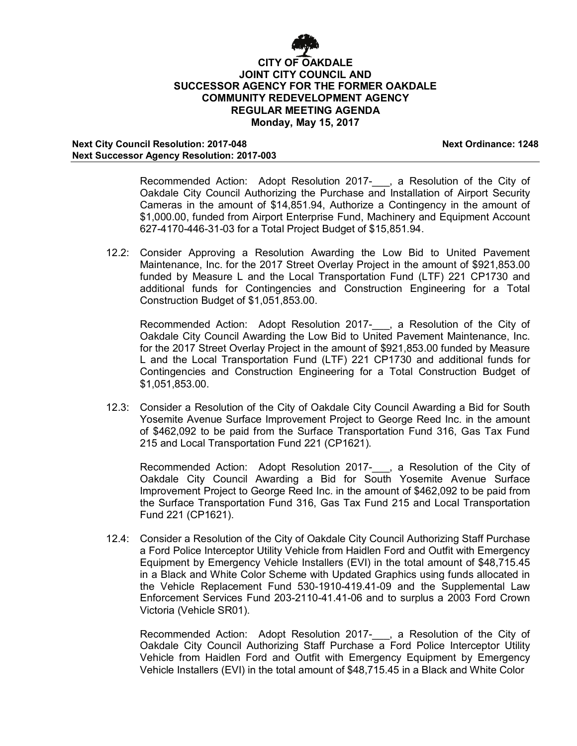

#### **Next City Council Resolution: 2017-048 Next Ordinance: 1248 Next Successor Agency Resolution: 2017-003**

Recommended Action: Adopt Resolution 2017- , a Resolution of the City of Oakdale City Council Authorizing the Purchase and Installation of Airport Security Cameras in the amount of \$14,851.94, Authorize a Contingency in the amount of \$1,000.00, funded from Airport Enterprise Fund, Machinery and Equipment Account 627-4170-446-31-03 for a Total Project Budget of \$15,851.94.

12.2: Consider Approving a Resolution Awarding the Low Bid to United Pavement Maintenance, Inc. for the 2017 Street Overlay Project in the amount of \$921,853.00 funded by Measure L and the Local Transportation Fund (LTF) 221 CP1730 and additional funds for Contingencies and Construction Engineering for a Total Construction Budget of \$1,051,853.00.

Recommended Action: Adopt Resolution 2017-\_\_\_, a Resolution of the City of Oakdale City Council Awarding the Low Bid to United Pavement Maintenance, Inc. for the 2017 Street Overlay Project in the amount of \$921,853.00 funded by Measure L and the Local Transportation Fund (LTF) 221 CP1730 and additional funds for Contingencies and Construction Engineering for a Total Construction Budget of \$1,051,853.00.

12.3: Consider a Resolution of the City of Oakdale City Council Awarding a Bid for South Yosemite Avenue Surface Improvement Project to George Reed Inc. in the amount of \$462,092 to be paid from the Surface Transportation Fund 316, Gas Tax Fund 215 and Local Transportation Fund 221 (CP1621).

Recommended Action: Adopt Resolution 2017-\_\_\_, a Resolution of the City of Oakdale City Council Awarding a Bid for South Yosemite Avenue Surface Improvement Project to George Reed Inc. in the amount of \$462,092 to be paid from the Surface Transportation Fund 316, Gas Tax Fund 215 and Local Transportation Fund 221 (CP1621).

12.4: Consider a Resolution of the City of Oakdale City Council Authorizing Staff Purchase a Ford Police Interceptor Utility Vehicle from Haidlen Ford and Outfit with Emergency Equipment by Emergency Vehicle Installers (EVI) in the total amount of \$48,715.45 in a Black and White Color Scheme with Updated Graphics using funds allocated in the Vehicle Replacement Fund 530-1910-419.41-09 and the Supplemental Law Enforcement Services Fund 203-2110-41.41-06 and to surplus a 2003 Ford Crown Victoria (Vehicle SR01).

Recommended Action: Adopt Resolution 2017-\_\_\_, a Resolution of the City of Oakdale City Council Authorizing Staff Purchase a Ford Police Interceptor Utility Vehicle from Haidlen Ford and Outfit with Emergency Equipment by Emergency Vehicle Installers (EVI) in the total amount of \$48,715.45 in a Black and White Color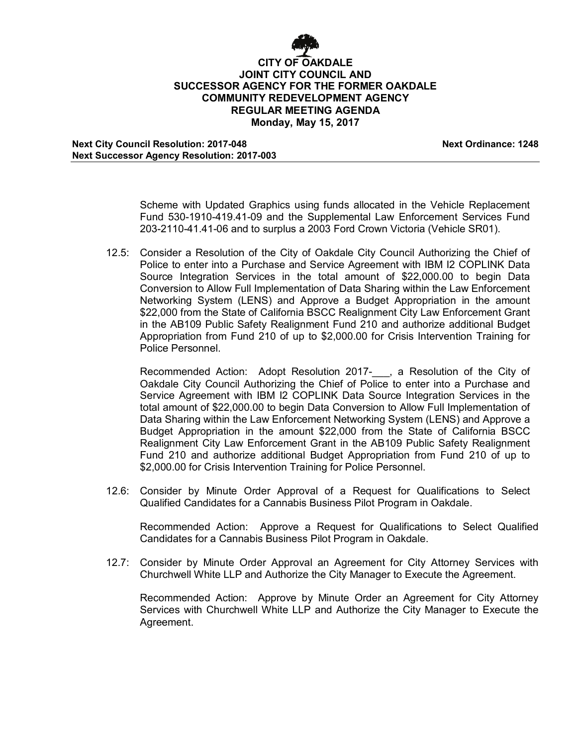

**Next City Council Resolution: 2017-048 Next Ordinance: 1248 Next Successor Agency Resolution: 2017-003**

Scheme with Updated Graphics using funds allocated in the Vehicle Replacement Fund 530-1910-419.41-09 and the Supplemental Law Enforcement Services Fund 203-2110-41.41-06 and to surplus a 2003 Ford Crown Victoria (Vehicle SR01).

12.5: Consider a Resolution of the City of Oakdale City Council Authorizing the Chief of Police to enter into a Purchase and Service Agreement with IBM I2 COPLINK Data Source Integration Services in the total amount of \$22,000.00 to begin Data Conversion to Allow Full Implementation of Data Sharing within the Law Enforcement Networking System (LENS) and Approve a Budget Appropriation in the amount \$22,000 from the State of California BSCC Realignment City Law Enforcement Grant in the AB109 Public Safety Realignment Fund 210 and authorize additional Budget Appropriation from Fund 210 of up to \$2,000.00 for Crisis Intervention Training for Police Personnel.

Recommended Action: Adopt Resolution 2017-\_\_\_, a Resolution of the City of Oakdale City Council Authorizing the Chief of Police to enter into a Purchase and Service Agreement with IBM I2 COPLINK Data Source Integration Services in the total amount of \$22,000.00 to begin Data Conversion to Allow Full Implementation of Data Sharing within the Law Enforcement Networking System (LENS) and Approve a Budget Appropriation in the amount \$22,000 from the State of California BSCC Realignment City Law Enforcement Grant in the AB109 Public Safety Realignment Fund 210 and authorize additional Budget Appropriation from Fund 210 of up to \$2,000.00 for Crisis Intervention Training for Police Personnel.

12.6: Consider by Minute Order Approval of a Request for Qualifications to Select Qualified Candidates for a Cannabis Business Pilot Program in Oakdale.

Recommended Action: Approve a Request for Qualifications to Select Qualified Candidates for a Cannabis Business Pilot Program in Oakdale.

12.7: Consider by Minute Order Approval an Agreement for City Attorney Services with Churchwell White LLP and Authorize the City Manager to Execute the Agreement.

Recommended Action: Approve by Minute Order an Agreement for City Attorney Services with Churchwell White LLP and Authorize the City Manager to Execute the Agreement.